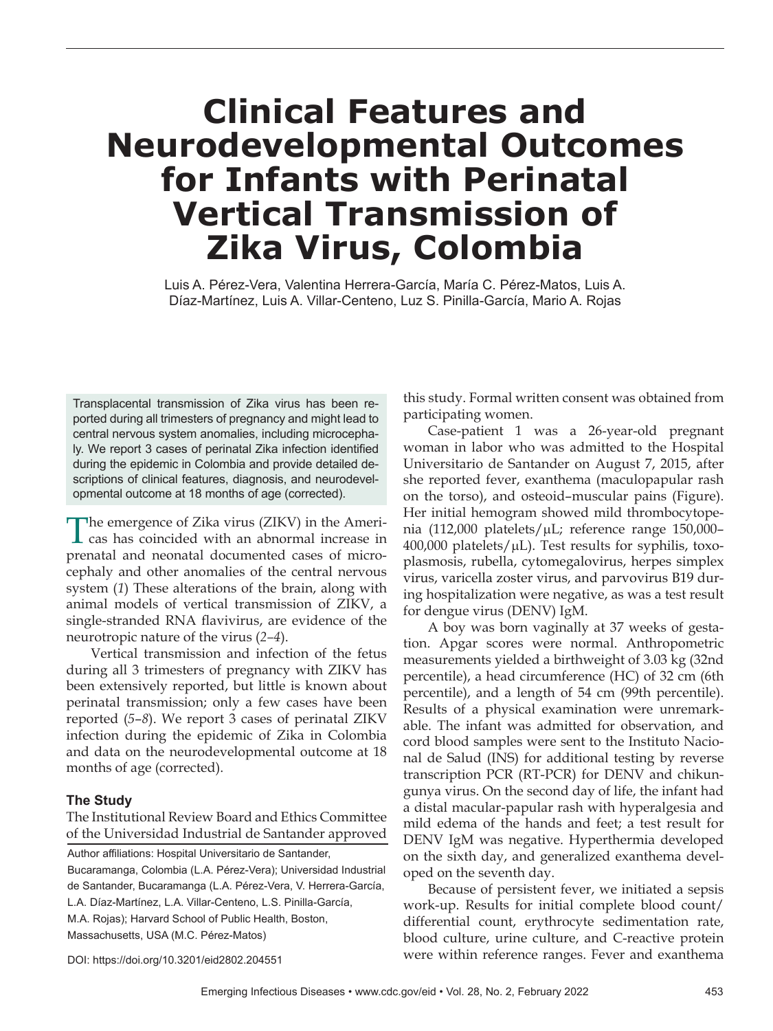# **Clinical Features and Neurodevelopmental Outcomes for Infants with Perinatal Vertical Transmission of Zika Virus, Colombia**

Luis A. Pérez-Vera, Valentina Herrera-García, María C. Pérez-Matos, Luis A. Díaz-Martínez, Luis A. Villar-Centeno, Luz S. Pinilla-García, Mario A. Rojas

Transplacental transmission of Zika virus has been reported during all trimesters of pregnancy and might lead to central nervous system anomalies, including microcephaly. We report 3 cases of perinatal Zika infection identified during the epidemic in Colombia and provide detailed descriptions of clinical features, diagnosis, and neurodevelopmental outcome at 18 months of age (corrected).

The emergence of Zika virus (ZIKV) in the Ameri-cas has coincided with an abnormal increase in prenatal and neonatal documented cases of microcephaly and other anomalies of the central nervous system (*1*) These alterations of the brain, along with animal models of vertical transmission of ZIKV, a single-stranded RNA flavivirus, are evidence of the neurotropic nature of the virus (*2–4*).

Vertical transmission and infection of the fetus during all 3 trimesters of pregnancy with ZIKV has been extensively reported, but little is known about perinatal transmission; only a few cases have been reported (*5*–*8*). We report 3 cases of perinatal ZIKV infection during the epidemic of Zika in Colombia and data on the neurodevelopmental outcome at 18 months of age (corrected).

## **The Study**

The Institutional Review Board and Ethics Committee of the Universidad Industrial de Santander approved

Author affiliations: Hospital Universitario de Santander,

Bucaramanga, Colombia (L.A. Pérez-Vera); Universidad Industrial de Santander, Bucaramanga (L.A. Pérez-Vera, V. Herrera-García, L.A. Díaz-Martínez, L.A. Villar-Centeno, L.S. Pinilla-García, M.A. Rojas); Harvard School of Public Health, Boston, Massachusetts, USA (M.C. Pérez-Matos)

this study. Formal written consent was obtained from participating women.

Case-patient 1 was a 26-year-old pregnant woman in labor who was admitted to the Hospital Universitario de Santander on August 7, 2015, after she reported fever, exanthema (maculopapular rash on the torso), and osteoid–muscular pains (Figure). Her initial hemogram showed mild thrombocytopenia (112,000 platelets/µL; reference range 150,000–  $400,000$  platelets/ $\mu$ L). Test results for syphilis, toxoplasmosis, rubella, cytomegalovirus, herpes simplex virus, varicella zoster virus, and parvovirus B19 during hospitalization were negative, as was a test result for dengue virus (DENV) IgM.

A boy was born vaginally at 37 weeks of gestation. Apgar scores were normal. Anthropometric measurements yielded a birthweight of 3.03 kg (32nd percentile), a head circumference (HC) of 32 cm (6th percentile), and a length of 54 cm (99th percentile). Results of a physical examination were unremarkable. The infant was admitted for observation, and cord blood samples were sent to the Instituto Nacional de Salud (INS) for additional testing by reverse transcription PCR (RT-PCR) for DENV and chikungunya virus. On the second day of life, the infant had a distal macular-papular rash with hyperalgesia and mild edema of the hands and feet; a test result for DENV IgM was negative. Hyperthermia developed on the sixth day, and generalized exanthema developed on the seventh day.

Because of persistent fever, we initiated a sepsis work-up. Results for initial complete blood count/ differential count, erythrocyte sedimentation rate, blood culture, urine culture, and C-reactive protein were within reference ranges. Fever and exanthema

DOI: https://doi.org/10.3201/eid2802.204551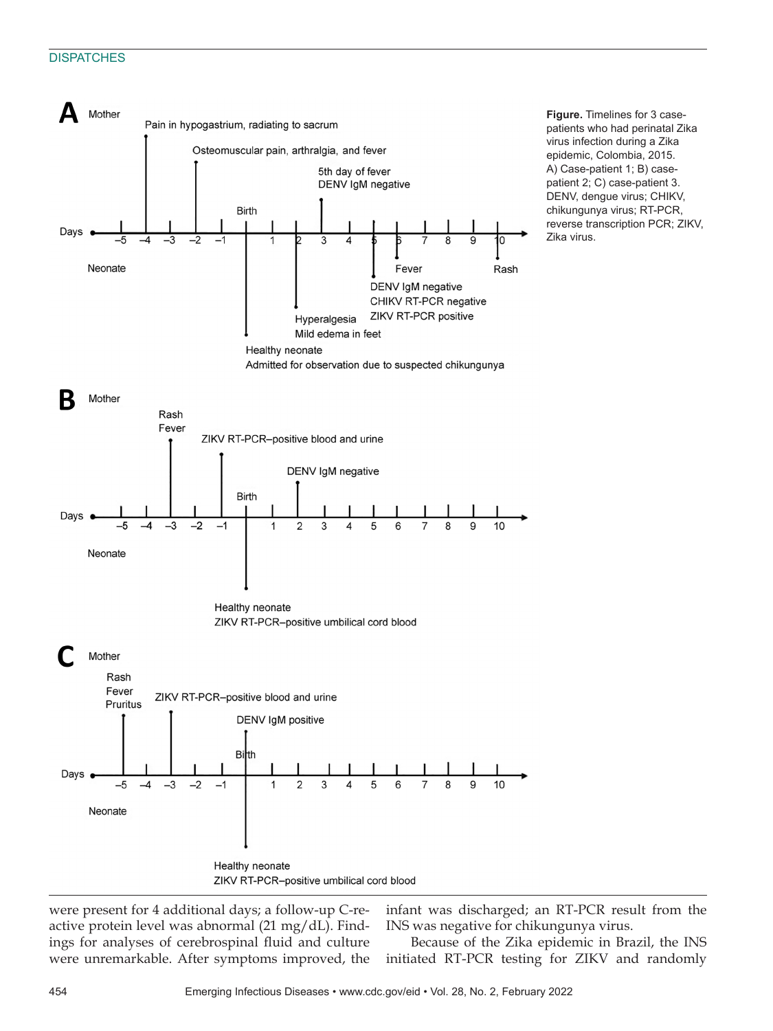## **DISPATCHES**



were present for 4 additional days; a follow-up C-reactive protein level was abnormal (21 mg/dL). Findings for analyses of cerebrospinal fluid and culture were unremarkable. After symptoms improved, the infant was discharged; an RT-PCR result from the INS was negative for chikungunya virus.

Because of the Zika epidemic in Brazil, the INS initiated RT-PCR testing for ZIKV and randomly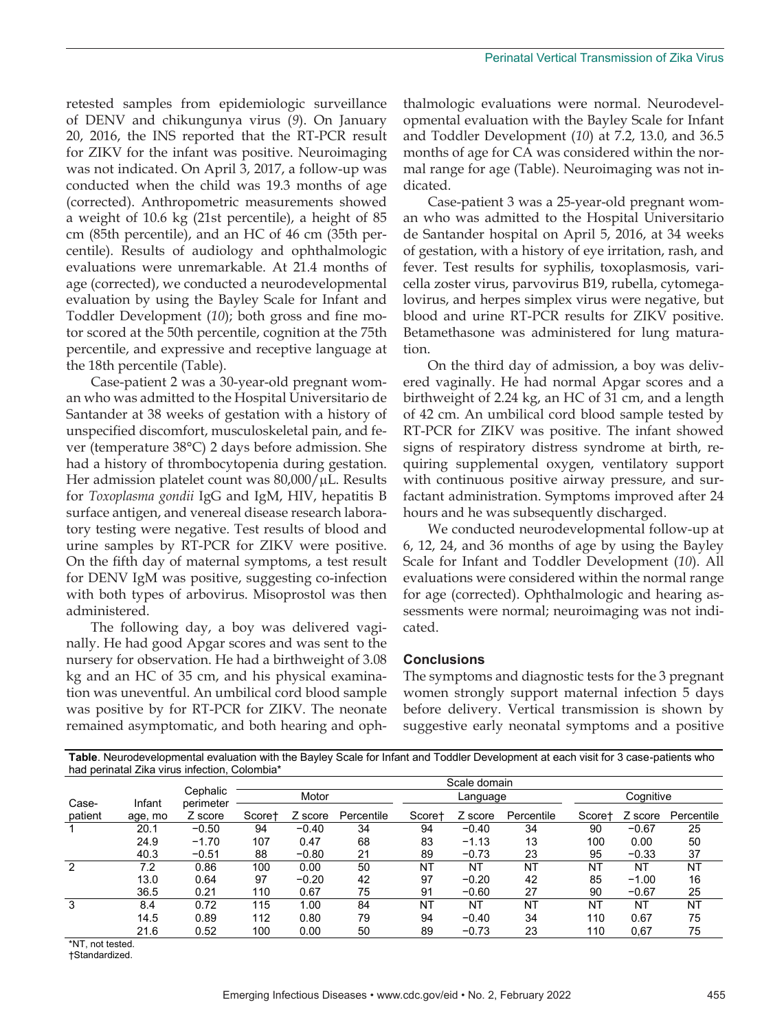retested samples from epidemiologic surveillance of DENV and chikungunya virus (*9*). On January 20, 2016, the INS reported that the RT-PCR result for ZIKV for the infant was positive. Neuroimaging was not indicated. On April 3, 2017, a follow-up was conducted when the child was 19.3 months of age (corrected). Anthropometric measurements showed a weight of 10.6 kg (21st percentile), a height of 85 cm (85th percentile), and an HC of 46 cm (35th percentile). Results of audiology and ophthalmologic evaluations were unremarkable. At 21.4 months of age (corrected), we conducted a neurodevelopmental evaluation by using the Bayley Scale for Infant and Toddler Development (*10*); both gross and fine motor scored at the 50th percentile, cognition at the 75th percentile, and expressive and receptive language at the 18th percentile (Table).

Case-patient 2 was a 30-year-old pregnant woman who was admitted to the Hospital Universitario de Santander at 38 weeks of gestation with a history of unspecified discomfort, musculoskeletal pain, and fever (temperature 38°C) 2 days before admission. She had a history of thrombocytopenia during gestation. Her admission platelet count was  $80,000/\mu L$ . Results for *Toxoplasma gondii* IgG and IgM, HIV, hepatitis B surface antigen, and venereal disease research laboratory testing were negative. Test results of blood and urine samples by RT-PCR for ZIKV were positive. On the fifth day of maternal symptoms, a test result for DENV IgM was positive, suggesting co-infection with both types of arbovirus. Misoprostol was then administered.

The following day, a boy was delivered vaginally. He had good Apgar scores and was sent to the nursery for observation. He had a birthweight of 3.08 kg and an HC of 35 cm, and his physical examination was uneventful. An umbilical cord blood sample was positive by for RT-PCR for ZIKV. The neonate remained asymptomatic, and both hearing and oph-

thalmologic evaluations were normal. Neurodevelopmental evaluation with the Bayley Scale for Infant and Toddler Development (*10*) at 7.2, 13.0, and 36.5 months of age for CA was considered within the normal range for age (Table). Neuroimaging was not indicated.

Case-patient 3 was a 25-year-old pregnant woman who was admitted to the Hospital Universitario de Santander hospital on April 5, 2016, at 34 weeks of gestation, with a history of eye irritation, rash, and fever. Test results for syphilis, toxoplasmosis, varicella zoster virus, parvovirus B19, rubella, cytomegalovirus, and herpes simplex virus were negative, but blood and urine RT-PCR results for ZIKV positive. Betamethasone was administered for lung maturation.

On the third day of admission, a boy was delivered vaginally. He had normal Apgar scores and a birthweight of 2.24 kg, an HC of 31 cm, and a length of 42 cm. An umbilical cord blood sample tested by RT-PCR for ZIKV was positive. The infant showed signs of respiratory distress syndrome at birth, requiring supplemental oxygen, ventilatory support with continuous positive airway pressure, and surfactant administration. Symptoms improved after 24 hours and he was subsequently discharged.

We conducted neurodevelopmental follow-up at 6, 12, 24, and 36 months of age by using the Bayley Scale for Infant and Toddler Development (*10*). All evaluations were considered within the normal range for age (corrected). Ophthalmologic and hearing assessments were normal; neuroimaging was not indicated.

## **Conclusions**

The symptoms and diagnostic tests for the 3 pregnant women strongly support maternal infection 5 days before delivery. Vertical transmission is shown by suggestive early neonatal symptoms and a positive

|         |         | had perinatal Zika virus infection, Colombia* |              |         |            |           |           |            |           |         |            |
|---------|---------|-----------------------------------------------|--------------|---------|------------|-----------|-----------|------------|-----------|---------|------------|
|         | Infant  | Cephalic<br>perimeter                         | Scale domain |         |            |           |           |            |           |         |            |
| Case-   |         |                                               | Motor        |         |            | Language  |           |            | Cognitive |         |            |
| patient | age, mo | Z score                                       | Score†       | Z score | Percentile | Score†    | Z score   | Percentile | Score†    | Z score | Percentile |
|         | 20.1    | $-0.50$                                       | 94           | $-0.40$ | 34         | 94        | $-0.40$   | 34         | 90        | $-0.67$ | 25         |
|         | 24.9    | $-1.70$                                       | 107          | 0.47    | 68         | 83        | $-1.13$   | 13         | 100       | 0.00    | 50         |
|         | 40.3    | $-0.51$                                       | 88           | $-0.80$ | 21         | 89        | $-0.73$   | 23         | 95        | $-0.33$ | 37         |
| 2       | 7.2     | 0.86                                          | 100          | 0.00    | 50         | <b>NT</b> | <b>NT</b> | <b>NT</b>  | NT        | NT      | NT         |
|         | 13.0    | 0.64                                          | 97           | $-0.20$ | 42         | 97        | $-0.20$   | 42         | 85        | $-1.00$ | 16         |
|         | 36.5    | 0.21                                          | 110          | 0.67    | 75         | 91        | $-0.60$   | 27         | 90        | $-0.67$ | 25         |
| 3       | 8.4     | 0.72                                          | 115          | 1.00    | 84         | <b>NT</b> | <b>NT</b> | <b>NT</b>  | NT        | NT      | NT         |
|         | 14.5    | 0.89                                          | 112          | 0.80    | 79         | 94        | $-0.40$   | 34         | 110       | 0.67    | 75         |
|         | 21.6    | 0.52                                          | 100          | 0.00    | 50         | 89        | $-0.73$   | 23         | 110       | 0,67    | 75         |

**Table**. Neurodevelopmental evaluation with the Bayley Scale for Infant and Toddler Development at each visit for 3 case-patients who

<sup>\*</sup>NT, not tested.

<sup>†</sup>Standardized.